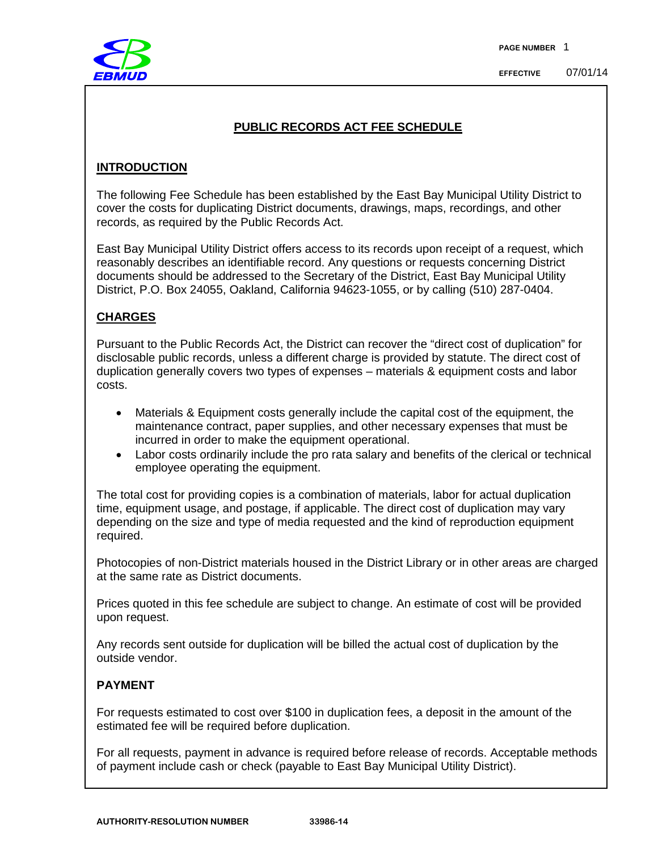

## **PUBLIC RECORDS ACT FEE SCHEDULE**

## **INTRODUCTION**

The following Fee Schedule has been established by the East Bay Municipal Utility District to cover the costs for duplicating District documents, drawings, maps, recordings, and other records, as required by the Public Records Act.

East Bay Municipal Utility District offers access to its records upon receipt of a request, which reasonably describes an identifiable record. Any questions or requests concerning District documents should be addressed to the Secretary of the District, East Bay Municipal Utility District, P.O. Box 24055, Oakland, California 94623-1055, or by calling (510) 287-0404.

## **CHARGES**

Pursuant to the Public Records Act, the District can recover the "direct cost of duplication" for disclosable public records, unless a different charge is provided by statute. The direct cost of duplication generally covers two types of expenses – materials & equipment costs and labor costs.

- Materials & Equipment costs generally include the capital cost of the equipment, the maintenance contract, paper supplies, and other necessary expenses that must be incurred in order to make the equipment operational.
- Labor costs ordinarily include the pro rata salary and benefits of the clerical or technical employee operating the equipment.

The total cost for providing copies is a combination of materials, labor for actual duplication time, equipment usage, and postage, if applicable. The direct cost of duplication may vary depending on the size and type of media requested and the kind of reproduction equipment required.

Photocopies of non-District materials housed in the District Library or in other areas are charged at the same rate as District documents.

Prices quoted in this fee schedule are subject to change. An estimate of cost will be provided upon request.

Any records sent outside for duplication will be billed the actual cost of duplication by the outside vendor.

## **PAYMENT**

For requests estimated to cost over \$100 in duplication fees, a deposit in the amount of the estimated fee will be required before duplication.

For all requests, payment in advance is required before release of records. Acceptable methods of payment include cash or check (payable to East Bay Municipal Utility District).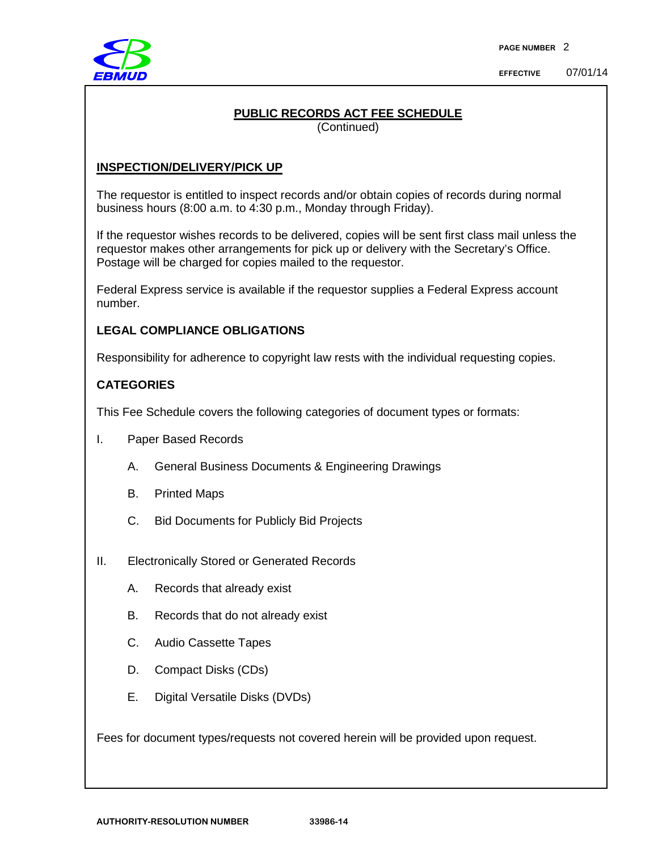

## **PUBLIC RECORDS ACT FEE SCHEDULE**

(Continued)

## **INSPECTION/DELIVERY/PICK UP**

The requestor is entitled to inspect records and/or obtain copies of records during normal business hours (8:00 a.m. to 4:30 p.m., Monday through Friday).

If the requestor wishes records to be delivered, copies will be sent first class mail unless the requestor makes other arrangements for pick up or delivery with the Secretary's Office. Postage will be charged for copies mailed to the requestor.

Federal Express service is available if the requestor supplies a Federal Express account number.

#### **LEGAL COMPLIANCE OBLIGATIONS**

Responsibility for adherence to copyright law rests with the individual requesting copies.

#### **CATEGORIES**

This Fee Schedule covers the following categories of document types or formats:

- I. Paper Based Records
	- A. General Business Documents & Engineering Drawings
	- B. Printed Maps
	- C. Bid Documents for Publicly Bid Projects
- II. Electronically Stored or Generated Records
	- A. Records that already exist
	- B. Records that do not already exist
	- C. Audio Cassette Tapes
	- D. Compact Disks (CDs)
	- E. Digital Versatile Disks (DVDs)

Fees for document types/requests not covered herein will be provided upon request.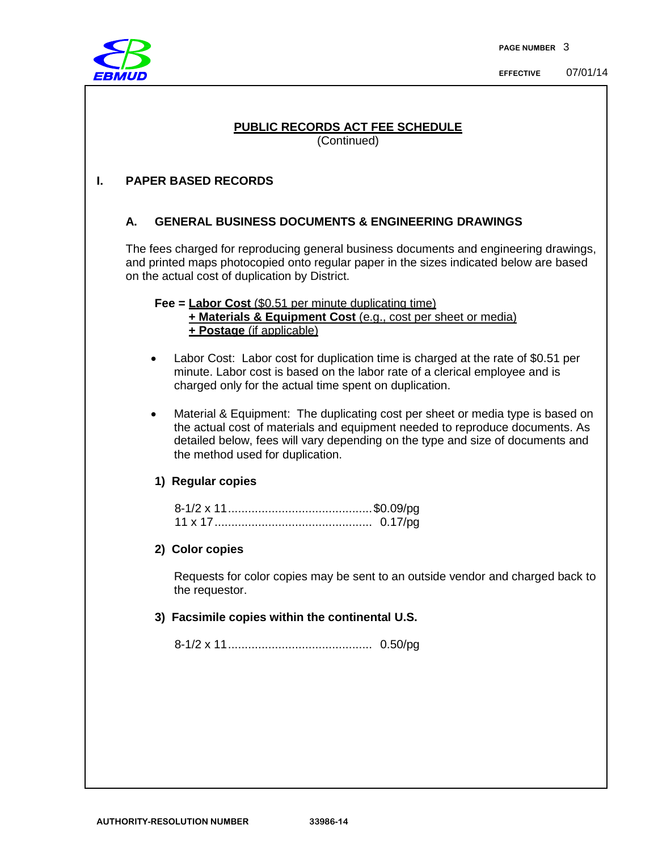

# **PUBLIC RECORDS ACT FEE SCHEDULE**

(Continued)

## **I. PAPER BASED RECORDS**

## **A. GENERAL BUSINESS DOCUMENTS & ENGINEERING DRAWINGS**

The fees charged for reproducing general business documents and engineering drawings, and printed maps photocopied onto regular paper in the sizes indicated below are based on the actual cost of duplication by District.

**Fee = Labor Cost (\$0.51 per minute duplicating time) + Materials & Equipment Cost** (e.g., cost per sheet or media) **+ Postage** (if applicable)

- Labor Cost: Labor cost for duplication time is charged at the rate of \$0.51 per minute. Labor cost is based on the labor rate of a clerical employee and is charged only for the actual time spent on duplication.
- Material & Equipment: The duplicating cost per sheet or media type is based on the actual cost of materials and equipment needed to reproduce documents. As detailed below, fees will vary depending on the type and size of documents and the method used for duplication.

#### **1) Regular copies**

| 11 x 17. |  |
|----------|--|

#### **2) Color copies**

Requests for color copies may be sent to an outside vendor and charged back to the requestor.

#### **3) Facsimile copies within the continental U.S.**

8-1/2 x 11........................................... 0.50/pg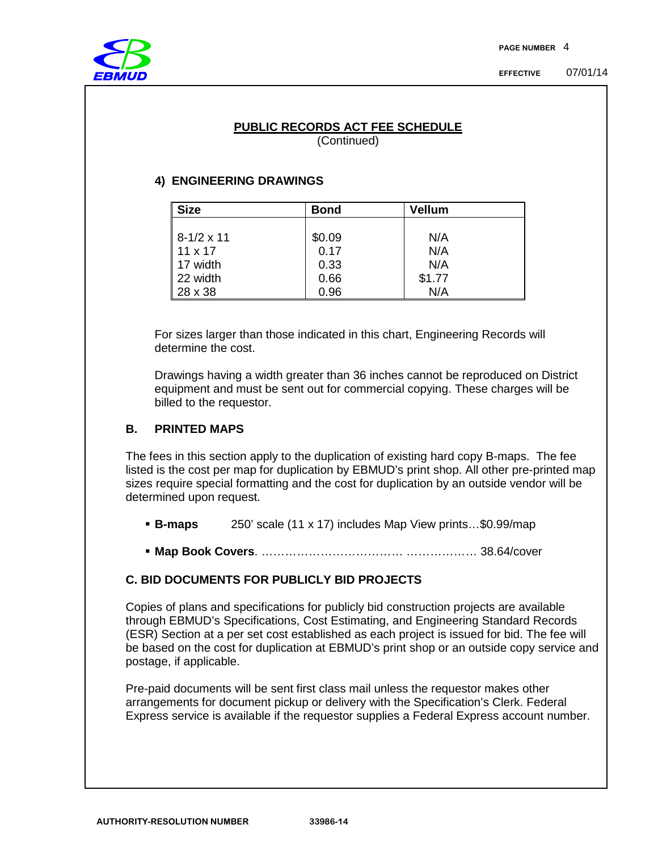

#### **PUBLIC RECORDS ACT FEE SCHEDULE** (Continued)

## **4) ENGINEERING DRAWINGS**

| <b>Size</b>       | Bond   | Vellum |  |
|-------------------|--------|--------|--|
|                   |        |        |  |
| $8-1/2 \times 11$ | \$0.09 | N/A    |  |
| $11 \times 17$    | 0.17   | N/A    |  |
| 17 width          | 0.33   | N/A    |  |
| 22 width          | 0.66   | \$1.77 |  |
| 28 x 38           | 0.96   | N/A    |  |

For sizes larger than those indicated in this chart, Engineering Records will determine the cost.

Drawings having a width greater than 36 inches cannot be reproduced on District equipment and must be sent out for commercial copying. These charges will be billed to the requestor.

## **B. PRINTED MAPS**

The fees in this section apply to the duplication of existing hard copy B-maps. The fee listed is the cost per map for duplication by EBMUD's print shop. All other pre-printed map sizes require special formatting and the cost for duplication by an outside vendor will be determined upon request.

- **B-maps** 250' scale (11 x 17) includes Map View prints…\$0.99/map
- **Map Book Covers**. ……………………………… ……………… 38.64/cover

## **C. BID DOCUMENTS FOR PUBLICLY BID PROJECTS**

Copies of plans and specifications for publicly bid construction projects are available through EBMUD's Specifications, Cost Estimating, and Engineering Standard Records (ESR) Section at a per set cost established as each project is issued for bid. The fee will be based on the cost for duplication at EBMUD's print shop or an outside copy service and postage, if applicable.

Pre-paid documents will be sent first class mail unless the requestor makes other arrangements for document pickup or delivery with the Specification's Clerk. Federal Express service is available if the requestor supplies a Federal Express account number.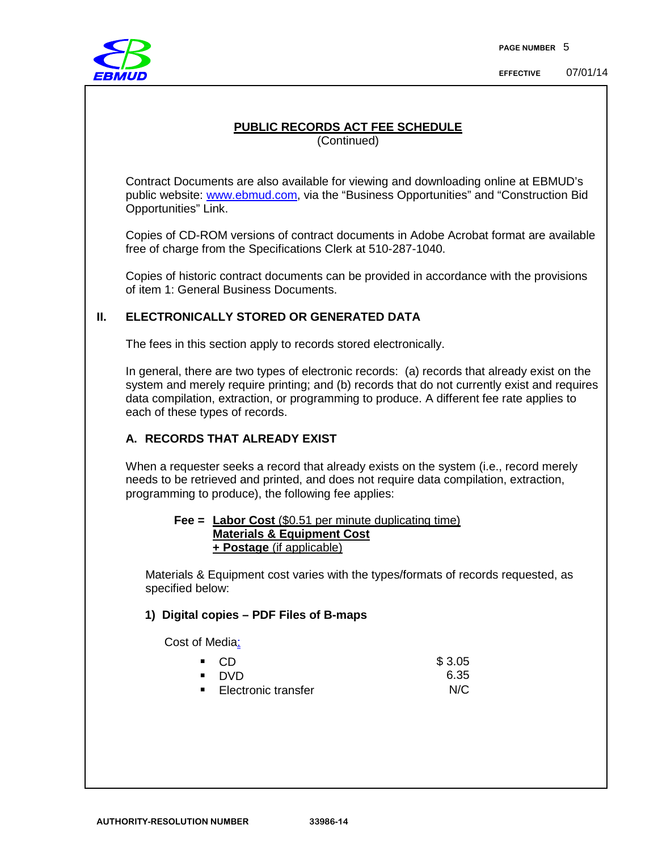

**EFFECTIVE** 07/01/14

## **PUBLIC RECORDS ACT FEE SCHEDULE**

(Continued)

Contract Documents are also available for viewing and downloading online at EBMUD's public website: [www.ebmud.com,](http://www.ebmud.com/) via the "Business Opportunities" and "Construction Bid Opportunities" Link.

Copies of CD-ROM versions of contract documents in Adobe Acrobat format are available free of charge from the Specifications Clerk at 510-287-1040.

Copies of historic contract documents can be provided in accordance with the provisions of item 1: General Business Documents.

## **II. ELECTRONICALLY STORED OR GENERATED DATA**

The fees in this section apply to records stored electronically.

In general, there are two types of electronic records: (a) records that already exist on the system and merely require printing; and (b) records that do not currently exist and requires data compilation, extraction, or programming to produce. A different fee rate applies to each of these types of records.

## **A. RECORDS THAT ALREADY EXIST**

When a requester seeks a record that already exists on the system (i.e., record merely needs to be retrieved and printed, and does not require data compilation, extraction, programming to produce), the following fee applies:

#### **Fee = Labor Cost** (\$0.51 per minute duplicating time) **Materials & Equipment Cost + Postage** (if applicable)

Materials & Equipment cost varies with the types/formats of records requested, as specified below:

#### **1) Digital copies – PDF Files of B-maps**

Cost of Media:

| - CD                  | \$3.05 |
|-----------------------|--------|
| ■ DVD                 | 6.35   |
| ■ Electronic transfer | N/C    |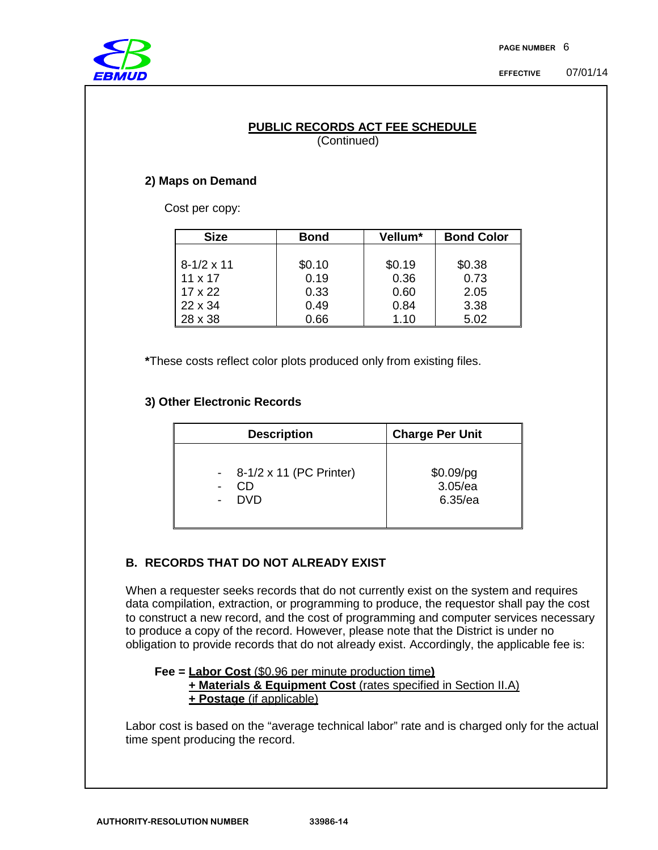

#### **PUBLIC RECORDS ACT FEE SCHEDULE** (Continued)

## **2) Maps on Demand**

Cost per copy:

| <b>Size</b>       | <b>Bond</b> | Vellum* | <b>Bond Color</b> |
|-------------------|-------------|---------|-------------------|
|                   |             |         |                   |
| $8-1/2 \times 11$ | \$0.10      | \$0.19  | \$0.38            |
| $11 \times 17$    | 0.19        | 0.36    | 0.73              |
| $17 \times 22$    | 0.33        | 0.60    | 2.05              |
| $22 \times 34$    | 0.49        | 0.84    | 3.38              |
| 28 x 38           | 0.66        | 1.10    | 5.02              |

**\***These costs reflect color plots produced only from existing files.

## **3) Other Electronic Records**

| <b>Description</b>        | <b>Charge Per Unit</b> |
|---------------------------|------------------------|
| - 8-1/2 x 11 (PC Printer) | $$0.09$ /pg            |
| CD                        | 3.05/ea                |
| <b>DVD</b>                | $6.35$ /ea             |

## **B. RECORDS THAT DO NOT ALREADY EXIST**

When a requester seeks records that do not currently exist on the system and requires data compilation, extraction, or programming to produce, the requestor shall pay the cost to construct a new record, and the cost of programming and computer services necessary to produce a copy of the record. However, please note that the District is under no obligation to provide records that do not already exist. Accordingly, the applicable fee is:

**Fee = Labor Cost** (\$0.96 per minute production time**) + Materials & Equipment Cost** (rates specified in Section II.A) **+ Postage** (if applicable)

Labor cost is based on the "average technical labor" rate and is charged only for the actual time spent producing the record.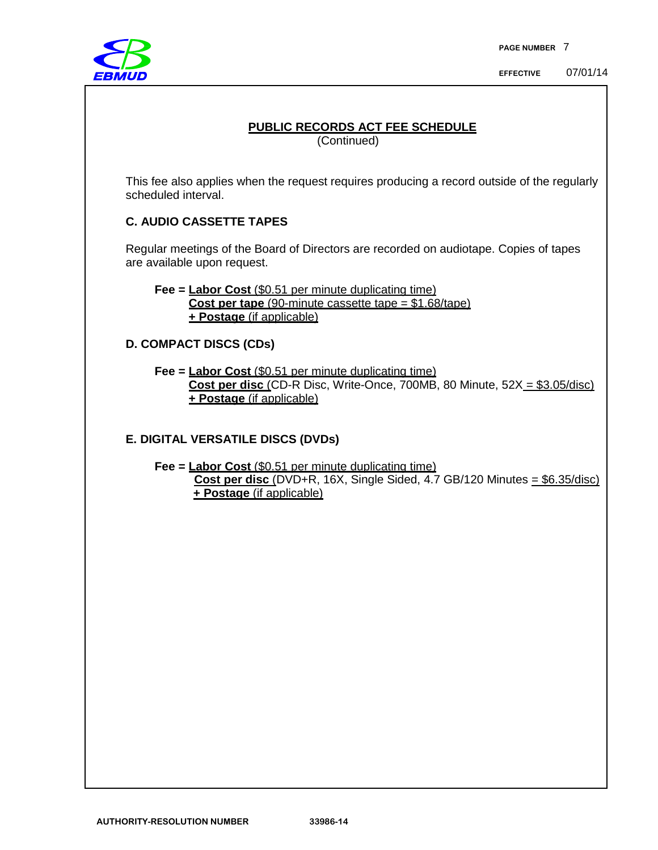

# **PUBLIC RECORDS ACT FEE SCHEDULE** (Continued) This fee also applies when the request requires producing a record outside of the regularly scheduled interval. **C. AUDIO CASSETTE TAPES** Regular meetings of the Board of Directors are recorded on audiotape. Copies of tapes are available upon request. **Fee = Labor Cost** (\$0.51 per minute duplicating time) **Cost per tape** (90-minute cassette tape = \$1.68/tape) **+ Postage** (if applicable) **D. COMPACT DISCS (CDs) Fee = Labor Cost** (\$0.51 per minute duplicating time) **Cost per disc** (CD-R Disc, Write-Once, 700MB, 80 Minute, 52X = \$3.05/disc) **+ Postage** (if applicable) **E. DIGITAL VERSATILE DISCS (DVDs) Fee = Labor Cost** (\$0.51 per minute duplicating time) **Cost per disc** (DVD+R, 16X, Single Sided, 4.7 GB/120 Minutes = \$6.35/disc) **+ Postage** (if applicable)